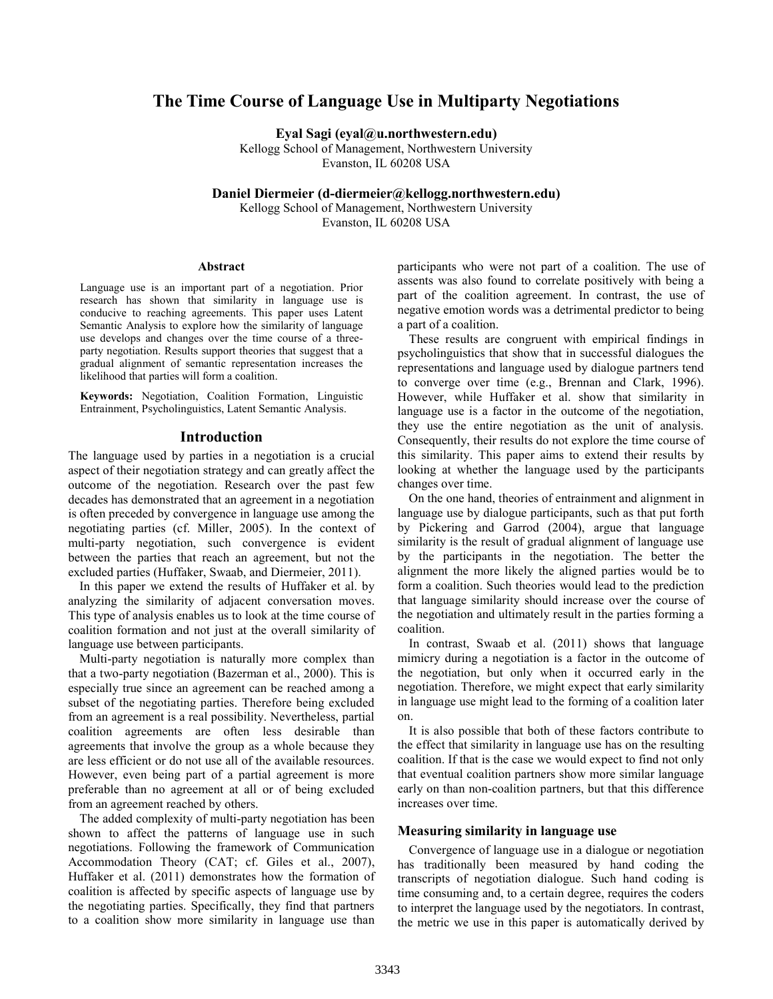# **The Time Course of Language Use in Multiparty Negotiations**

**Eyal Sagi (eyal@u.northwestern.edu)**

Kellogg School of Management, Northwestern University Evanston, IL 60208 USA

**Daniel Diermeier (d-diermeier@kellogg.northwestern.edu)**

Kellogg School of Management, Northwestern University Evanston, IL 60208 USA

#### **Abstract**

Language use is an important part of a negotiation. Prior research has shown that similarity in language use is conducive to reaching agreements. This paper uses Latent Semantic Analysis to explore how the similarity of language use develops and changes over the time course of a threeparty negotiation. Results support theories that suggest that a gradual alignment of semantic representation increases the likelihood that parties will form a coalition.

**Keywords:** Negotiation, Coalition Formation, Linguistic Entrainment, Psycholinguistics, Latent Semantic Analysis.

# **Introduction**

The language used by parties in a negotiation is a crucial aspect of their negotiation strategy and can greatly affect the outcome of the negotiation. Research over the past few decades has demonstrated that an agreement in a negotiation is often preceded by convergence in language use among the negotiating parties (cf. Miller, 2005). In the context of multi-party negotiation, such convergence is evident between the parties that reach an agreement, but not the excluded parties (Huffaker, Swaab, and Diermeier, 2011).

In this paper we extend the results of Huffaker et al. by analyzing the similarity of adjacent conversation moves. This type of analysis enables us to look at the time course of coalition formation and not just at the overall similarity of language use between participants.

Multi-party negotiation is naturally more complex than that a two-party negotiation (Bazerman et al., 2000). This is especially true since an agreement can be reached among a subset of the negotiating parties. Therefore being excluded from an agreement is a real possibility. Nevertheless, partial coalition agreements are often less desirable than agreements that involve the group as a whole because they are less efficient or do not use all of the available resources. However, even being part of a partial agreement is more preferable than no agreement at all or of being excluded from an agreement reached by others.

The added complexity of multi-party negotiation has been shown to affect the patterns of language use in such negotiations. Following the framework of Communication Accommodation Theory (CAT; cf. Giles et al., 2007), Huffaker et al. (2011) demonstrates how the formation of coalition is affected by specific aspects of language use by the negotiating parties. Specifically, they find that partners to a coalition show more similarity in language use than

participants who were not part of a coalition. The use of assents was also found to correlate positively with being a part of the coalition agreement. In contrast, the use of negative emotion words was a detrimental predictor to being a part of a coalition.

These results are congruent with empirical findings in psycholinguistics that show that in successful dialogues the representations and language used by dialogue partners tend to converge over time (e.g., Brennan and Clark, 1996). However, while Huffaker et al. show that similarity in language use is a factor in the outcome of the negotiation, they use the entire negotiation as the unit of analysis. Consequently, their results do not explore the time course of this similarity. This paper aims to extend their results by looking at whether the language used by the participants changes over time.

On the one hand, theories of entrainment and alignment in language use by dialogue participants, such as that put forth by Pickering and Garrod (2004), argue that language similarity is the result of gradual alignment of language use by the participants in the negotiation. The better the alignment the more likely the aligned parties would be to form a coalition. Such theories would lead to the prediction that language similarity should increase over the course of the negotiation and ultimately result in the parties forming a coalition.

In contrast, Swaab et al. (2011) shows that language mimicry during a negotiation is a factor in the outcome of the negotiation, but only when it occurred early in the negotiation. Therefore, we might expect that early similarity in language use might lead to the forming of a coalition later on.

It is also possible that both of these factors contribute to the effect that similarity in language use has on the resulting coalition. If that is the case we would expect to find not only that eventual coalition partners show more similar language early on than non-coalition partners, but that this difference increases over time.

## **Measuring similarity in language use**

Convergence of language use in a dialogue or negotiation has traditionally been measured by hand coding the transcripts of negotiation dialogue. Such hand coding is time consuming and, to a certain degree, requires the coders to interpret the language used by the negotiators. In contrast, the metric we use in this paper is automatically derived by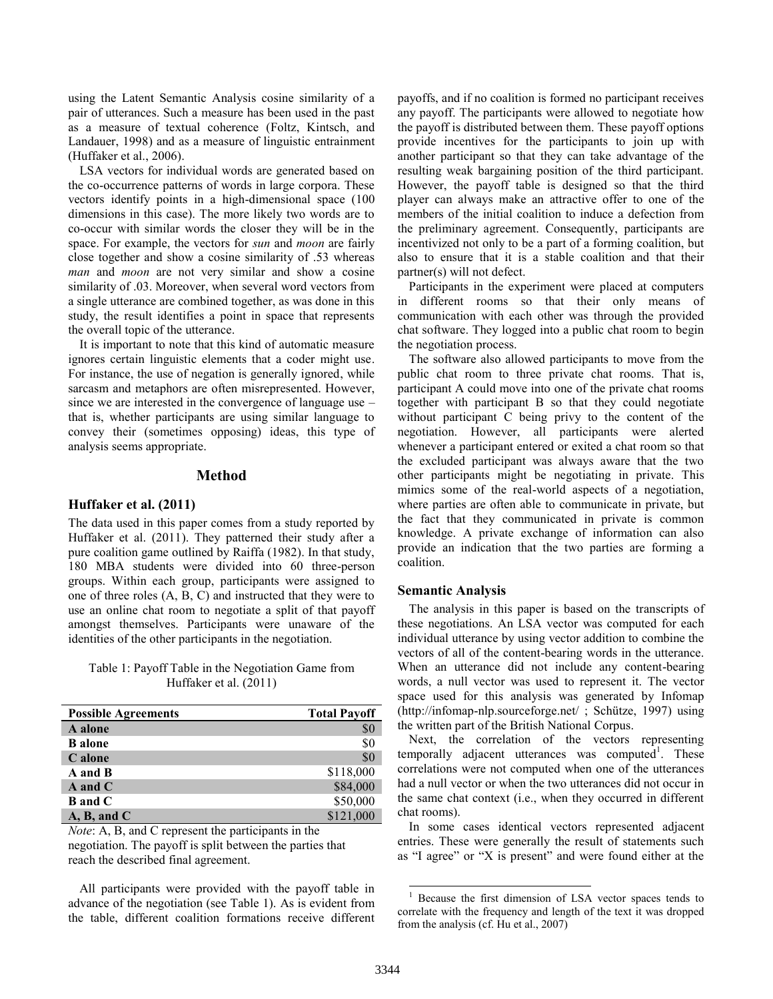using the Latent Semantic Analysis cosine similarity of a pair of utterances. Such a measure has been used in the past as a measure of textual coherence (Foltz, Kintsch, and Landauer, 1998) and as a measure of linguistic entrainment (Huffaker et al., 2006).

LSA vectors for individual words are generated based on the co-occurrence patterns of words in large corpora. These vectors identify points in a high-dimensional space (100 dimensions in this case). The more likely two words are to co-occur with similar words the closer they will be in the space. For example, the vectors for *sun* and *moon* are fairly close together and show a cosine similarity of .53 whereas *man* and *moon* are not very similar and show a cosine similarity of .03. Moreover, when several word vectors from a single utterance are combined together, as was done in this study, the result identifies a point in space that represents the overall topic of the utterance.

It is important to note that this kind of automatic measure ignores certain linguistic elements that a coder might use. For instance, the use of negation is generally ignored, while sarcasm and metaphors are often misrepresented. However, since we are interested in the convergence of language use – that is, whether participants are using similar language to convey their (sometimes opposing) ideas, this type of analysis seems appropriate.

#### **Method**

#### **Huffaker et al. (2011)**

The data used in this paper comes from a study reported by Huffaker et al. (2011). They patterned their study after a pure coalition game outlined by Raiffa (1982). In that study, 180 MBA students were divided into 60 three-person groups. Within each group, participants were assigned to one of three roles (A, B, C) and instructed that they were to use an online chat room to negotiate a split of that payoff amongst themselves. Participants were unaware of the identities of the other participants in the negotiation.

Table 1: Payoff Table in the Negotiation Game from Huffaker et al. (2011)

| <b>Possible Agreements</b> | <b>Total Payoff</b> |
|----------------------------|---------------------|
| A alone                    | \$0                 |
| <b>B</b> alone             | \$0                 |
| C alone                    | \$0                 |
| A and B                    | \$118,000           |
| $A$ and $C$                | \$84,000            |
| <b>B</b> and C             | \$50,000            |
| A, B, and C                | \$121,000           |

*Note*: A, B, and C represent the participants in the negotiation. The payoff is split between the parties that reach the described final agreement.

All participants were provided with the payoff table in advance of the negotiation (see Table 1). As is evident from the table, different coalition formations receive different payoffs, and if no coalition is formed no participant receives any payoff. The participants were allowed to negotiate how the payoff is distributed between them. These payoff options provide incentives for the participants to join up with another participant so that they can take advantage of the resulting weak bargaining position of the third participant. However, the payoff table is designed so that the third player can always make an attractive offer to one of the members of the initial coalition to induce a defection from the preliminary agreement. Consequently, participants are incentivized not only to be a part of a forming coalition, but also to ensure that it is a stable coalition and that their partner(s) will not defect.

Participants in the experiment were placed at computers in different rooms so that their only means of communication with each other was through the provided chat software. They logged into a public chat room to begin the negotiation process.

The software also allowed participants to move from the public chat room to three private chat rooms. That is, participant A could move into one of the private chat rooms together with participant B so that they could negotiate without participant C being privy to the content of the negotiation. However, all participants were alerted whenever a participant entered or exited a chat room so that the excluded participant was always aware that the two other participants might be negotiating in private. This mimics some of the real-world aspects of a negotiation, where parties are often able to communicate in private, but the fact that they communicated in private is common knowledge. A private exchange of information can also provide an indication that the two parties are forming a coalition.

#### **Semantic Analysis**

The analysis in this paper is based on the transcripts of these negotiations. An LSA vector was computed for each individual utterance by using vector addition to combine the vectors of all of the content-bearing words in the utterance. When an utterance did not include any content-bearing words, a null vector was used to represent it. The vector space used for this analysis was generated by Infomap (http://infomap-nlp.sourceforge.net/ ; Schütze, 1997) using the written part of the British National Corpus.

Next, the correlation of the vectors representing temporally adjacent utterances was computed<sup>1</sup>. These correlations were not computed when one of the utterances had a null vector or when the two utterances did not occur in the same chat context (i.e., when they occurred in different chat rooms).

In some cases identical vectors represented adjacent entries. These were generally the result of statements such as "I agree" or "X is present" and were found either at the

l

<sup>1</sup> Because the first dimension of LSA vector spaces tends to correlate with the frequency and length of the text it was dropped from the analysis (cf. Hu et al., 2007)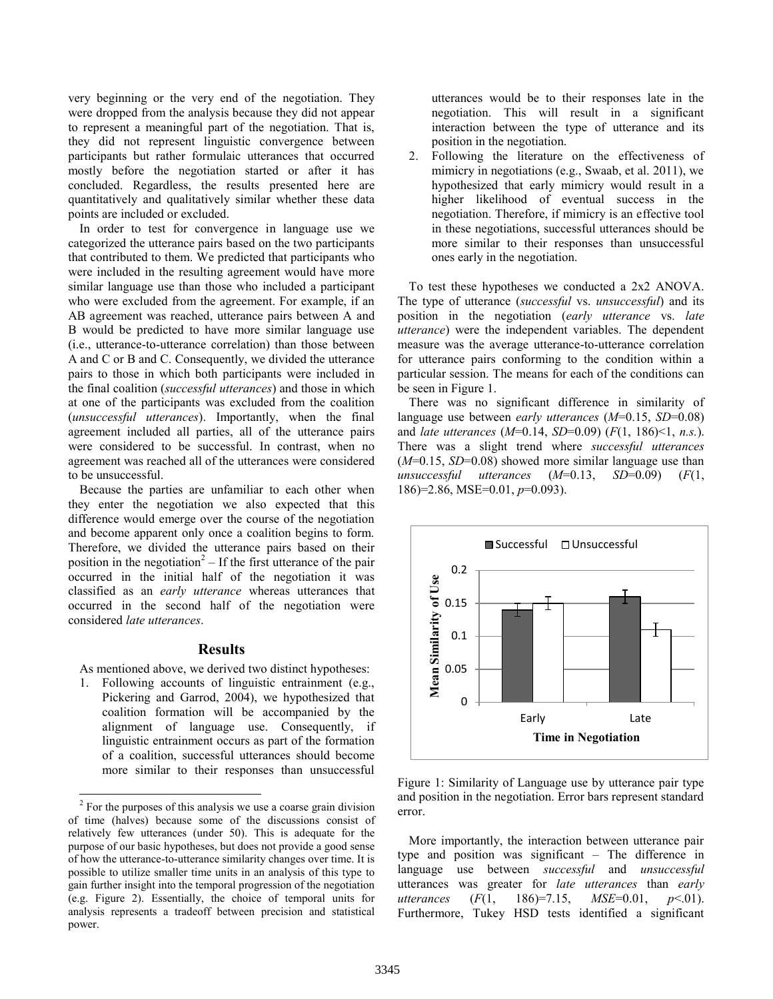very beginning or the very end of the negotiation. They were dropped from the analysis because they did not appear to represent a meaningful part of the negotiation. That is, they did not represent linguistic convergence between participants but rather formulaic utterances that occurred mostly before the negotiation started or after it has concluded. Regardless, the results presented here are quantitatively and qualitatively similar whether these data points are included or excluded.

In order to test for convergence in language use we categorized the utterance pairs based on the two participants that contributed to them. We predicted that participants who were included in the resulting agreement would have more similar language use than those who included a participant who were excluded from the agreement. For example, if an AB agreement was reached, utterance pairs between A and B would be predicted to have more similar language use (i.e., utterance-to-utterance correlation) than those between A and C or B and C. Consequently, we divided the utterance pairs to those in which both participants were included in the final coalition (*successful utterances*) and those in which at one of the participants was excluded from the coalition (*unsuccessful utterances*). Importantly, when the final agreement included all parties, all of the utterance pairs were considered to be successful. In contrast, when no agreement was reached all of the utterances were considered to be unsuccessful.

Because the parties are unfamiliar to each other when they enter the negotiation we also expected that this difference would emerge over the course of the negotiation and become apparent only once a coalition begins to form. Therefore, we divided the utterance pairs based on their position in the negotiation<sup>2</sup> – If the first utterance of the pair occurred in the initial half of the negotiation it was classified as an *early utterance* whereas utterances that occurred in the second half of the negotiation were considered *late utterances*.

#### **Results**

As mentioned above, we derived two distinct hypotheses:

1. Following accounts of linguistic entrainment (e.g., Pickering and Garrod, 2004), we hypothesized that coalition formation will be accompanied by the alignment of language use. Consequently, if linguistic entrainment occurs as part of the formation of a coalition, successful utterances should become more similar to their responses than unsuccessful

utterances would be to their responses late in the negotiation. This will result in a significant interaction between the type of utterance and its position in the negotiation.

2. Following the literature on the effectiveness of mimicry in negotiations (e.g., Swaab, et al. 2011), we hypothesized that early mimicry would result in a higher likelihood of eventual success in the negotiation. Therefore, if mimicry is an effective tool in these negotiations, successful utterances should be more similar to their responses than unsuccessful ones early in the negotiation.

To test these hypotheses we conducted a 2x2 ANOVA. The type of utterance (*successful* vs. *unsuccessful*) and its position in the negotiation (*early utterance* vs. *late utterance*) were the independent variables. The dependent measure was the average utterance-to-utterance correlation for utterance pairs conforming to the condition within a particular session. The means for each of the conditions can be seen in Figure 1.

There was no significant difference in similarity of language use between *early utterances* (*M*=0.15, *SD*=0.08) and *late utterances* (*M*=0.14, *SD*=0.09) (*F*(1, 186)<1, *n.s.*). There was a slight trend where *successful utterances* (*M*=0.15, *SD*=0.08) showed more similar language use than *unsuccessful utterances* (*M*=0.13, *SD*=0.09) (*F*(1, 186)=2.86, MSE=0.01, *p*=0.093).



Figure 1: Similarity of Language use by utterance pair type and position in the negotiation. Error bars represent standard error.

More importantly, the interaction between utterance pair type and position was significant – The difference in language use between *successful* and *unsuccessful* utterances was greater for *late utterances* than *early utterances* (*F*(1, 186)=7.15, *MSE*=0.01, *p*<.01). Furthermore, Tukey HSD tests identified a significant

 2 For the purposes of this analysis we use a coarse grain division of time (halves) because some of the discussions consist of relatively few utterances (under 50). This is adequate for the purpose of our basic hypotheses, but does not provide a good sense of how the utterance-to-utterance similarity changes over time. It is possible to utilize smaller time units in an analysis of this type to gain further insight into the temporal progression of the negotiation (e.g. Figure 2). Essentially, the choice of temporal units for analysis represents a tradeoff between precision and statistical power.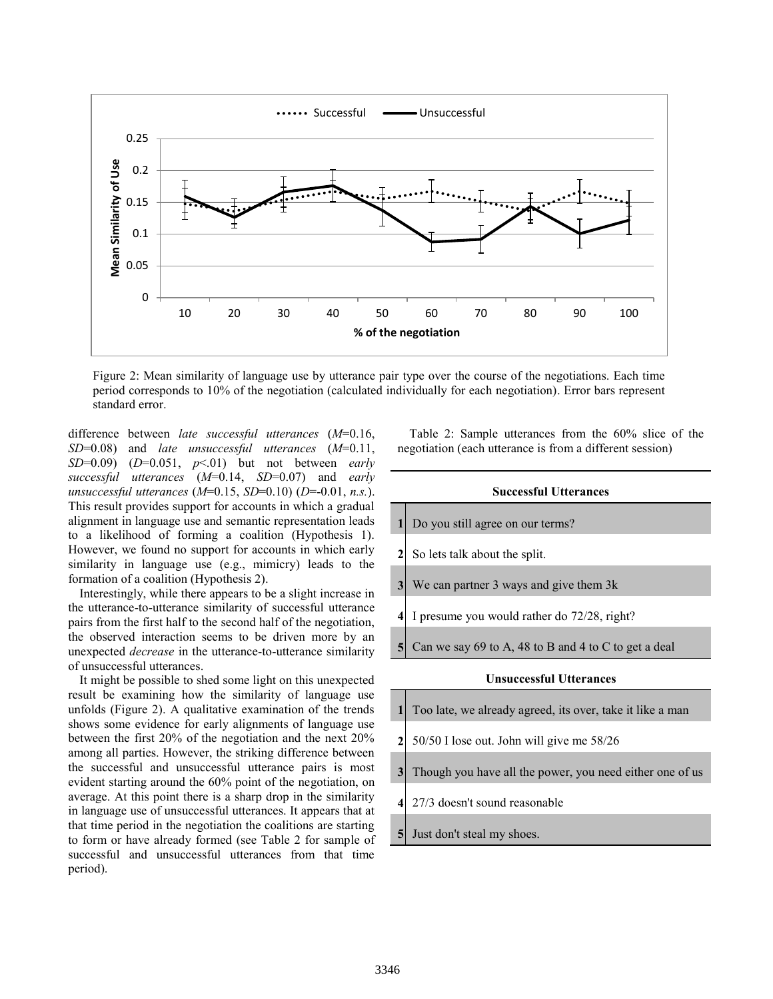

Figure 2: Mean similarity of language use by utterance pair type over the course of the negotiations. Each time period corresponds to 10% of the negotiation (calculated individually for each negotiation). Error bars represent standard error.

difference between *late successful utterances* (*M*=0.16, *SD*=0.08) and *late unsuccessful utterances* (*M*=0.11, *SD*=0.09) (*D*=0.051, *p*<.01) but not between *early successful utterances* (*M*=0.14, *SD*=0.07) and *early unsuccessful utterances* (*M*=0.15, *SD*=0.10) (*D*=-0.01, *n.s.*). This result provides support for accounts in which a gradual alignment in language use and semantic representation leads to a likelihood of forming a coalition (Hypothesis 1). However, we found no support for accounts in which early similarity in language use (e.g., mimicry) leads to the formation of a coalition (Hypothesis 2).

Interestingly, while there appears to be a slight increase in the utterance-to-utterance similarity of successful utterance pairs from the first half to the second half of the negotiation, the observed interaction seems to be driven more by an unexpected *decrease* in the utterance-to-utterance similarity of unsuccessful utterances.

It might be possible to shed some light on this unexpected result be examining how the similarity of language use unfolds (Figure 2). A qualitative examination of the trends shows some evidence for early alignments of language use between the first 20% of the negotiation and the next 20% among all parties. However, the striking difference between the successful and unsuccessful utterance pairs is most evident starting around the 60% point of the negotiation, on average. At this point there is a sharp drop in the similarity in language use of unsuccessful utterances. It appears that at that time period in the negotiation the coalitions are starting to form or have already formed (see Table 2 for sample of successful and unsuccessful utterances from that time period).

Table 2: Sample utterances from the 60% slice of the negotiation (each utterance is from a different session)

# **Successful Utterances 1** Do you still agree on our terms? **2** So lets talk about the split. **3** We can partner 3 ways and give them 3k **4** I presume you would rather do 72/28, right? **5** Can we say 69 to A, 48 to B and 4 to C to get a deal

## **Unsuccessful Utterances**

| $\mathbf{1}$   | Too late, we already agreed, its over, take it like a man |
|----------------|-----------------------------------------------------------|
| $\mathbf{2}$   | 50/50 I lose out. John will give me 58/26                 |
| 3 <sub>l</sub> | Though you have all the power, you need either one of us  |
| 41             | 27/3 doesn't sound reasonable                             |
| 5 <sup>1</sup> | Just don't steal my shoes.                                |
|                |                                                           |